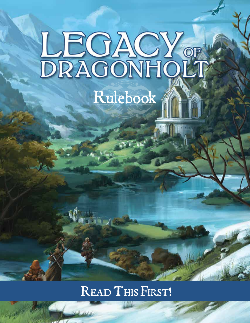# LEGACY OF Rulebook ?

# READ THIS FIRST!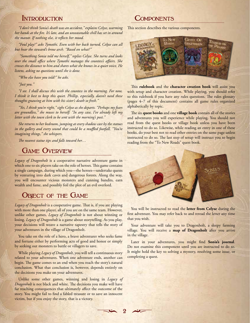#### **INTRODUCTION**

"I don't think Sonia's death was an accident," explains Celyse, warming her hands at the fire. It's late, and an unseasonable chill has set in around the manor. If nothing else, it reflects her mood.

"Foul play?" asks Tymothi. Even with her back turned, Celyse can all but hear the steward's brow arch. "Based on what?"

"Something Sonia told me herself," replies Celyse. She turns and looks over the small office where Tymothi manages the countess's affairs. She crosses the distance to him and shares what she knows in a quiet voice. He listens, asking no questions until she is done.

"Who else have you told?" he asks.

"Just you."

"I see. I shall discuss this with the countess in the morning. For now, I think it best to keep this quiet. Phillip, especially, doesn't need these thoughts gnawing at him with his sister's death so fresh."

"Yes, I think you're right," sighs Celyse as she departs. "Perhaps my fears are groundless," she muses to herself. "In any case, I've already left my letter with the town clerk to be sent with the morning's post."

She returns to her bedroom, jumping at every shadow cast by the statues in the gallery and every sound that could be a muffled footfall. "You're imagining things," she whispers.

The nearest statue tips and falls toward her...

### **GAME OVERVIEW**

Legacy of Dragonholt is a cooperative narrative adventure game in which one to six players take on the role of heroes. This game contains a single campaign, during which you-the heroes-undertake quests by venturing into dark caves and dangerous forests. Along the way, you will encounter vicious monsters and cunning bandits, earn wealth and fame, and possibly foil the plot of an evil overlord.

# **OBJECT OF THE GAME**

Legacy of Dragonholt is a cooperative game. That is, if you are playing with more than one player, all of you are on the same team. However, unlike other games, Legacy of Dragonholt is not about winning or losing. Legacy of Dragonholt is a game about storytelling. As you play, your decisions will weave a narrative tapestry that tells the story of your adventures in the village of Dragonholt.

You take on the role of a hero, a brave adventurer who seeks fame and fortune either by performing acts of good and honor or simply by seeking out monsters to battle or villagers to save.

While playing Legacy of Dragonholt, you will tell a continuous story related to your adventures. When one adventure ends, another can begin. The game comes to an end when you reach the story's natural conclusion. What that conclusion is, however, depends entirely on the decisions you make on your adventures.

Unlike some other games, winning and losing in Legacy of Dragonholt is not black and white. The decisions you make will have far reaching consequences that ultimately affect the outcome of the story. You might fail to find a fabled treasure or to save an innocent victim, but if you enjoy the story, that is a victory.

#### COMPONENTS

This section describes the various components.



This rulebook and the character creation book will assist you with setup and character creation. While playing, you should refer to this rulebook if you have any rules questions. The rules glossary (pages 4-7 of this document) contains all game rules organized alphabetically by topic.

The six quest books and one village book contain all of the stories and adventures you will experience while playing. You should not read from the quest books or village book unless you have been instructed to do so. Likewise, while reading an entry in one of these books, do your best not to read other entries on the same page unless instructed to do so. The last step of setup will instruct you to begin reading from the "To New Roads" quest book.



You will be instructed to read the letter from Celyse during the first adventure. You may refer back to and reread the letter any time that you wish.

Your adventure will take you to Dragonholt, a sleepy farming village. You will receive a map of Dragonholt after you arrive in the village.

Later in your adventures, you might find Sonia's journal. Do not examine this component until you are instructed to do so. It might hold the key to solving a mystery, resolving some issue, or completing a quest.

 $\mathcal{D}$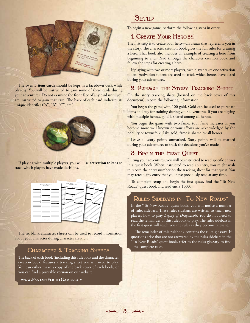

The twenty item cards should be kept in a facedown deck while playing. You will be instructed to gain some of these cards during your adventures. Do not examine the front face of any card until you are instructed to gain that card. The back of each card indicates its unique identifier ("A", "B", "C", etc.).



If playing with multiple players, you will use **activation tokens** to track which players have made decisions.

| LINACY OF DRAGONHOLT<br>Ceascra Serry                                  | $\mathcal{L}_{\text{CG}_{\text{LOC}}\text{O}^{\text{C}}\text{O}^{\text{C}}\text{O}^{\text{D}}_{\text{D} \text{O} \text{O} \text{O}^{\text{C}}\text{O}^{\text{C}}\text{O}^{\text{C}}\text{O}^{\text{C}}\text{O}^{\text{C}}\text{O}^{\text{C}}\text{O}^{\text{C}}\text{O}^{\text{C}}\text{O}^{\text{C}}\text{O}^{\text{C}}\text{O}^{\text{C}}\text{O}^{\text{C}}\text{O}^{\text{C}}\text{O}^{\text{C$ | $\begin{array}{r} \begin{array}{cccccccccc} L_{\text{COACY}} & & D_{\text{COC},\text{O}} \\ \downarrow & & \ddots & & \ddots \\ \downarrow & & & \ddots & & \ddots \\ \end{array} \end{array}$ |  |  |  |  |  |  |
|------------------------------------------------------------------------|-----------------------------------------------------------------------------------------------------------------------------------------------------------------------------------------------------------------------------------------------------------------------------------------------------------------------------------------------------------------------------------------------------|------------------------------------------------------------------------------------------------------------------------------------------------------------------------------------------------|--|--|--|--|--|--|
| Enmanue<br><b>Servers</b><br><b>GRASS</b><br><b>Thursday</b><br>п<br>г | <b>Contract</b><br>-                                                                                                                                                                                                                                                                                                                                                                                |                                                                                                                                                                                                |  |  |  |  |  |  |
| г<br>г<br><b>Supports</b><br>−<br>۳                                    | <b>Tangua</b>                                                                                                                                                                                                                                                                                                                                                                                       |                                                                                                                                                                                                |  |  |  |  |  |  |
| г<br><b>PERSONAL AMERICA</b><br>Personal Discourses                    | <b>Street, Square, &amp; County</b><br><b>MILL Floor</b>                                                                                                                                                                                                                                                                                                                                            | <b><i>CONSTRUCTION</i></b>                                                                                                                                                                     |  |  |  |  |  |  |
| <b>Ballyman Mar</b>                                                    |                                                                                                                                                                                                                                                                                                                                                                                                     |                                                                                                                                                                                                |  |  |  |  |  |  |
|                                                                        |                                                                                                                                                                                                                                                                                                                                                                                                     |                                                                                                                                                                                                |  |  |  |  |  |  |
| American Association                                                   | <u> Andrews Indonesia</u>                                                                                                                                                                                                                                                                                                                                                                           |                                                                                                                                                                                                |  |  |  |  |  |  |
|                                                                        |                                                                                                                                                                                                                                                                                                                                                                                                     |                                                                                                                                                                                                |  |  |  |  |  |  |

The six blank character sheets can be used to record information about your character during character creation.

#### Character & Tracking Sheets

The back of each book (including this rulebook and the character creation book) features a tracking sheet you will need to play. You can either make a copy of the back cover of each book, or you can find a printable version on our website.

www.FantasyFlightGames.com

#### SETUP

To begin a new game, perform the following steps in order:

# 1. CREATE YOUR HERO(ES)

The first step is to create your hero—an avatar that represents you in the story. The character creation book gives the full rules for creating a hero. That book also includes an example of creating a hero from beginning to end. Read through the character creation book and follow the steps for creating a hero.

If playing with two or more players, each player takes one activation token. Activation tokens are used to track which heroes have acted during your adventures.

#### 2. PREPARE THE STORY TRACKING SHEET

On the story tracking sheet (located on the back cover of this document), record the following information:

You begin the game with 100 gold. Gold can be used to purchase items and pay for training during your adventures. If you are playing with multiple heroes, gold is shared among all heroes.

You begin the game with two fame. Your fame increases as you become more well known or your efforts are acknowledged by the nobility or townsfolk. Like gold, fame is shared by all heroes.

Leave all story points unmarked. Story points will be marked during your adventures to track the decisions you've made.

#### 3. BEGIN THE FIRST QUEST

During your adventures, you will be instructed to read specific entries in a quest book. When instructed to read an entry, you might wish to record the entry number on the tracking sheet for that quest. You may reread any entry that you have previously read at any time.

To complete setup and begin the first quest, find the "To New Roads" quest book and read entry 1000.

#### RULES SIDEBARS IN "TO NEW ROADS"

In the "To New Roads" quest book, you will notice a number of rules sidebars. These rules sidebars are written to teach new players how to play Legacy of Dragonholt. You do not need to read the remainder of this rulebook to play. The rules sidebars in the first quest will teach you the rules as they become relevant.

The remainder of this rulebook contains the rules glossary. If questions arise that are not answered by the rules sidebars in the 'To New Roads" quest book, refer to the rules glossary to find the complete rules.

 $\mathfrak{F}$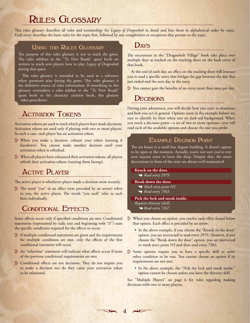# RULES GLOSSARY

This rules glossary describes all rules and terminology for *Legacy of Dragonholt* in detail and lists them in alphabetical order by topic. Each entry describes the basic rules for the topic frst, followed by any complexities or exceptions that pertain to the topic.

#### USING THIS RULES GLOSSARY

The purpose of this rules glossary is not to teach the game. The rules sidebars in the "To New Roads" quest book are written to teach new players how to play *Legacy of Dragonholt* during that quest.

This rules glossary is intended to be used as a reference when questions arise during the game. This rules glossary is the defnitive source of rules information. If something in this glossary contradicts a rules sidebar in the "To New Roads" quest book or the character creation book, this glossary takes precedence.

# **ACTIVATION TOKENS**

Activation tokens are used to track which players have made decisions. Activation tokens are used only if playing with two or more players. In such a case, each player has an activation token.

- $\gg$  When you make a decision, exhaust your token (turning it facedown). You cannot make another decision until your activation token is refreshed.
- $\triangleright$  When all players have exhausted their activation tokens, all players refresh their activation tokens (turning them faceup).

# Active Player

The active player is whichever player made a decision most recently.

The word "you" in an effect (text preceded by an arrow) refers to you, the active player. The words "you each" refer to each hero individually.

# CONDITIONAL EFFECTS

Some efects occur only if specifed conditions are met. Conditional statements (represented by italic text and beginning with "if") state the specific conditions required for the effects to occur.

- $\triangleright$  If multiple conditional statements are given and the requirements for multiple conditions are met, only the effects of the first conditional statement will occur.
- $\gg$  An "otherwise" statement will indicate what effects occur if none of the previous conditional requirements are met.
- Conditional effects are not decisions. They do not require you to make a decision nor do they cause your activation token to be exhausted.

#### Days

The encounters in the "Dragonholt Village" book take place over multiple days as tracked on the tracking sheet on the back cover of that book.

At the end of each day, an effect on the tracking sheet will instruct you to read a specifc entry that bridges the gap between the day that just ended and the next day in the story.

 $\geq$  You cannot gain the benefits of an entry more than once per day.

# **DECISIONS**

During your adventures, you will decide how you react to situations and how you act in general. Options (seen in the example below) are easy to identify by their white text on dark-red background. When you reach a decision point—a set of two or more options—you will read each of the available options and choose the one you prefer.

#### EXAMPLE DECISION POINT

The tea house is a small but elegant building. It doesn't appear to be open at the moment. Actually, you're not sure you've ever seen anyone enter or leave the shop. Despite that, the street decorations in front of the store are always well maintained.

#### **Knock on the door.**

*Read entry 2979.*

#### **Break down the door.**

- *Mark story point N5.*
- *Read entry 7363.*

#### **Pick the lock and sneak inside.** *Requires thievery (skill).*

- *Read entry 7267.*
- $\rightarrow$  When you choose an option, you resolve each effect found below that option. Each effect is preceded by an arrow.
	- In the above example, if you choose the "Knock on the door" option, you are instructed to read entry 2979. However, if you choose the "Break down the door" option, you are instructed to mark story point N5 and then read entry 7363.
- $\gg$  Some options require you to have a specific skill or some other condition to be true. You cannot choose an option if its requirements are not met.
	- In the above example, the "Pick the lock and sneak inside." option cannot be chosen unless you have the thievery skill.

See "Multiple Players" on page 6 for rules regarding making decisions with two or more players.

 $47$ 

 $=$   $\frac{1}{2}$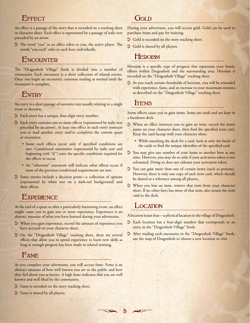#### EFFECT

An effect is a passage of the story that is recorded on a tracking sheet or character sheet. Each effect is represented by a passage of italic text preceded by an arrow.

 $\triangleright$  The word "you" in an effect refers to you, the active player. The words "you each" refer to each hero individually.

#### **ENCOUNTER**

The "Dragonholt Village" book is divided into a number of encounters. Each encounter is a short collection of related entries. Once you begin an encounter, continue reading as normal until the encounter is complete.

#### ENTRY

An entry is a short passage of narrative text usually relating to a single event or decision.

- $\geq$  Each entry has a unique, four-digit entry number.
- $\geq$  Each entry contains one or more effects (represented by italic text preceded by an arrow). At least one effect in each entry instructs you to read another entry and/or completes the current quest or encounter.
	- Some such effects occur only if specified conditions are met. Conditional statements (represented by italic text and beginning with "if") state the specifc conditions required for the effects to occur.
	- An "otherwise" statement will indicate what effects occur if none of the previous conditional requirements are met.
- ^ Some entries include a decision point—a collection of options (represented by white text on a dark-red background) and their efects.

### **EXPERIENCE**

At the end of a quest or after a particularly harrowing event, an efect might cause you to gain one or more experience. Experience is an abstract measure of what you have learned during your adventures.

- $\Diamond$  When you gain experience, record the amount of experience you have accrued on your character sheet.
- $\geq$  On the "Dragonholt Village" tracking sheet, there are several efects that allow you to spend experience to learn new skills as long as enough progress has been made in related training.

# fame

As you complete your adventures, you will accrue fame. Fame is an abstract measure of how well known you are to the public and how they feel about you as heroes. A high fame indicates that you are well known and well liked by the community.

- $\triangleright$  Fame is recorded on the story tracking sheet.
- $\triangleright$  Fame is shared by all players.

#### Gold

During your adventures, you will accrue gold. Gold can be used to purchase items and pay for training.

- $\geq$  Gold is recorded on the story tracking sheet.
- $\geq$  Gold is shared by all players.

# **HEROISM**

Heroism is a specific type of progress that represents your heroic efforts within Dragonholt and the surrounding area. Heroism is recorded on the "Dragonholt Village" tracking sheet.

 $\sum$  As you reach certain thresholds of heroism, you will be rewarded with experience, fame, and an increase to your maximum stamina as described on the "Dragonholt Village" tracking sheet.

# **ITEMS**

Some effects cause you to gain items. Items are cards and are kept in a facedown deck.

- $\Diamond$  When an effect instructs you to gain an item, record the item's name on your character sheet, then fnd the specifed item card. Keep the card faceup with your character sheet.
	- While searching the deck for a card, look at only the backs of the cards to fnd the unique identifer of the specifed card.
- $\geq$  You may give any number of your items to another hero at any time. However, you may do so only if your activation token is not exhausted. Doing so does not exhaust your activation token.
- $\sum$  You can gain more than one of certain items (such as potions). However, there is only one copy of each item card, which should be shared as a reference among all players.
- $\gg$  When you lose an item, remove that item from your character sheet. If no other hero has more of that item, also return the item card to the deck.

#### **LOCATION**

5

ترتعهم

A location is just that—a physical location in the village of Dragonholt.

- $\triangleright$  Each location has a four-digit number that corresponds to an entry in the "Dragonholt Village" book.
- $\sum$  After reading each encounter in the "Dragonholt Village" book, use the map of Dragonholt to choose a new location to visit.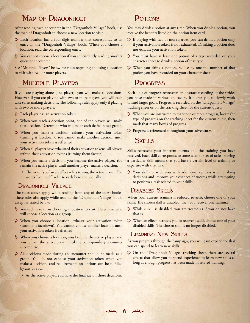# MAP OF DRAGONHOLT

After reading each encounter in the "Dragonholt Village" book, use the map of Dragonholt to choose a new location to visit.

- $\geq$  Each location has a four-digit number that corresponds to an entry in the "Dragonholt Village" book. When you choose a location, read the corresponding entry.
- $\triangleright$  You cannot choose a location if you are currently reading another quest or encounter.

See "Multiple Players" below for rules regarding choosing a location to visit with two or more players.

# MULTIPLE PLAYERS

If you are playing alone (one player), you will make all decisions. However, if you are playing with two or more players, you will each take turns making decisions. The following rules apply only if playing with two or more players.

- $\geq$  Each player has an activation token.
- $\triangleright$  When you reach a decision point, one of the players will make that decision. Determine who will make each decision as a group.
- $\rightarrow$  When you make a decision, exhaust your activation token (turning it facedown). You cannot make another decision until your activation token is refreshed.
- $\triangleright$  When all players have exhausted their activation tokens, all players refresh their activation tokens (turning them faceup).
- $\gg$  When you make a decision, you become the active player. You remain the active player until another player makes a decision.
	- The word "you" in an effect refers to you, the active player. The words "you each" refer to each hero individually.

#### DRAGONHOLT VILLAGE

The rules above apply while reading from any of the quest books. These rules also apply while reading the "Dragonholt Village" book, except as stated below:

- $\geq$  You each take turns choosing a location to visit. Determine who will choose a location as a group.
- $\gg$  When you choose a location, exhaust your activation token (turning it facedown). You cannot choose another location until your activation token is refreshed.
- $\gg$  When you choose a location, you become the active player, and you remain the active player until the corresponding encounter is complete.
- $\geq$  All decisions made during an encounter should be made as a group. You do not exhaust your activation token when you make a decision, and requirements on options can be fulflled by any of you.
	- As the active player, you have the final say on those decisions.

# POTIONS

You may drink a potion at any time. When you drink a potion, you receive the benefts listed on the potion item card.

- $\sum$  If playing with two or more heroes, you can drink a potion only if your activation token is not exhausted. Drinking a potion does not exhaust your activation token.
- $\geq$  You must have at least one potion of a type recorded on your character sheet to drink a potion of that type.
- $\Diamond$  When you drink a potion, reduce by one the number of that potion you have recorded on your character sheet.

#### **PROGRESS**

Each unit of progress represents an abstract recording of the strides you have made in various endeavors. It allows you to slowly work toward larger goals. Progress is recorded on the "Dragonholt Village" tracking sheet or on the tracking sheet for the current quest.

- $\Diamond$  When you are instructed to mark one or more progress, locate the type of progress on the tracking sheet for the current quest, then mark that many boxes of progress.
- $\triangleright$  Progress is referenced throughout your adventures.

#### **SKILLS**

Skills represent your inherent talents and the training you have received. Each skill corresponds to some talent or set of tasks. Having a particular skill means that you have a certain level of training or expertise with that task.

 $\sum$  Your skills provide you with additional options when making decisions and improve your chances of success while attempting to perform a task related to your skills.

#### DISABLED SKILLS

When your current stamina is reduced to zero, choose one of your skills. The chosen skill is disabled, then you recover one stamina.

- $\rightarrow$  While a skill is disabled, you are treated as if you do not have that skill.
- $\rightarrow$  When an effect instructs you to recover a skill, choose one of your disabled skills. The chosen skill is no longer disabled.

#### LEARNING NEW SKILLS

As you progress through the campaign, you will gain experience that you can spend to learn new skills.

 $\sum$  On the "Dragonholt Village" tracking sheet, there are several effects that allow you to spend experience to learn new skills as long as enough progress has been made in related training.

 $67$ 

 $=$   $\mathfrak{L}$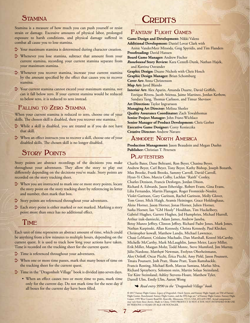#### **STAMINA**

Stamina is a measure of how much you can push yourself or resist strain or damage. Excessive amounts of physical labor, prolonged exposure to harsh conditions, and physical damage sufered in combat all cause you to lose stamina.

- $\triangleright$  Your maximum stamina is determined during character creation.
- $\rightarrow$  Whenever you lose stamina, subtract that amount from your current stamina, recording your current stamina separate from your maximum stamina.
- $\gg$  Whenever you recover stamina, increase your current stamina by the amount specified by the effect that causes you to recover stamina.
- $\triangleright$  Your current stamina cannot exceed your maximum stamina, nor can it fall below zero. If your current stamina would be reduced to below zero, it is reduced to zero instead.

#### FALLING TO ZERO STAMINA

When your current stamina is reduced to zero, choose one of your skills. The chosen skill is disabled, then you recover one stamina.

- $\gg$  While a skill is disabled, you are treated as if you do not have that skill.
- $\Diamond$  When an effect instructs you to recover a skill, choose one of your disabled skills. The chosen skill is no longer disabled.

## **STORY POINTS**

Story points are abstract recordings of the decisions you make throughout your adventures. They allow the story to play out diferently depending on the decisions you've made. Story points are recorded on the story tracking sheet.

- $\Diamond$  When you are instructed to mark one or more story points, locate the story point on the story tracking sheet by referencing its letter and number, then mark that box.
- $\triangleright$  Story points are referenced throughout your adventures.
- $\geq$  Each story point is either marked or not marked. Marking a story point more than once has no additional effect.

#### TIME

Each unit of time represents an abstract amount of time, which could be anything from a few minutes to multiple hours, depending on the current quest. It is used to track how long your actions have taken. Time is recorded on the tracking sheet for the current quest.

- $\geq$  Time is referenced throughout your adventures.
- $\Diamond$  When one or more time passes, mark that many boxes of time on the tracking sheet for the current quest.
- $\triangleright$  Time in the "Dragonholt Village" book is divided into seven days.
	- When an effect causes two or more time to pass, mark time only for the current day. Do not mark time for the next day if all boxes for the current day have been flled.

# **DEDITS**

#### fantasY flIGht Games

**Game Design and Development:** Nikki Valens **Additional Development:** Daniel Lovat Clark with Annie VanderMeer Mitsoda, Greg Spyridis, and Tim Flanders **Proofreading:** David Hansen **Board Game Manager:** Andrew Fischer *Runebound* **Story Review:** Kara Centell-Dunk, Nathan Hajek, and Katrina Ostrander **Graphic Design:** Duane Nichols with Chris Hosch **Graphic Design Manager:** Brian Schomburg **Cover Art:** Anna Christenson **Map Art:** Jared Blando Interior Art: Alex Aparin, Amanda Duarte, David Griffith, Enrique Rivera, Jacob Atienza, Jaime Martinez, Jordan Kerbow, Sandara Tang, Thomas Carlsson, and Timur Shevtsov **Art Direction:** Taylor Ingvarsson **Managing Art Director:** Melissa Shetler **Quality Assurance Coordinator:** Zach Tewalthomas **Senior Project Manager:** John Franz-Wichlacz **Senior Manager of Product Development:** Chris Gerber **Executive Game Designer:** Corey Konieczka **Creative Director:** Andrew Navaro

#### ASMODEE NORTH AMERICA

**Production Management:** Jason Beaudoin and Megan Duehn **Publisher:** Christian T. Petersen

#### PLAYTESTERS

7

Charlie Bates, Dane Beltrami, Ron Beyer, Chasina Beyer, Andrew Beyer, Carl Beyer, Tony Beyer, Kathy Bishop, Joseph Bozarth, Max Brooke, Frank Brooks, Sammy Carroll, David Carroll, Hyan-Yi Choo, Marcia Colby, Lachlan "Raith" Conley, Charles Denison, Francis Desforges, Jordan Dixon, Richard A. Edwards, Jason Etheridge, Robert Evans, Gina Evans, Lilia Fernandes, Martin Flanagan, Roger Fromreide-Nessler, Violet Garitson, Gary Garitson, Rachel Garitson, Molly Glover, Tom Greer, Mick Haigh, Aramis Heininger, Grace Holdinghaus, Alene Horner, Jason Horner, Jonas Horner, Julien Horner, Sasha Horner, Ian "GM Hooly" Houlihan, Tim Huckelbery, Gabriel Hughes, Garrett Hughes, Jed Humphries, Michael Hurrell, Arthur izak-damiecki, Adam James, Andrew Janeba, Betsy Munro Jefrey, Clinton Jefrey, Richard Padre Jones, Mark Jones, Nathan Karpinski, Allan Kennedy, Christa Kennedy, Paul Klecker, Christopher kowall, Matthew Landis, Michael Lawrence, Chase LeMaster, Crislaine Machado, Dan Marshall, Kestrel McCarthy, Michelle McCarthy, Mark McLaughlin, James Meier, Lacey Miller, Erik Miller, Maegan Mohr, Todd Monte, Steve Mumford, Jim Murray, Júlio Nardone, Matthew Newman, Evelynn Oberheitmann, Alex Ortlof, Oscar Picchi, Érica Picchi, Amy Pirkl, Jason Pounsett, Tmara Pounsett, Josh Pratt, Shane Pratt, Team Ramshackle, Francis Rosting, Michael Roth, Marcus Santana, Marlus Silva, Richard Sprayberry, Solomon stein, Martin Solaas Steinsland, Tor Kåre Steinsland, Ashley Stevens-Hoare, Matthew Tyler, Darrell Ulm, Emily Ulm, Aaron Wong

*Read entry 9990 in the "Dragonholt Village" book.*

<sup>© 2017</sup> Fantasy Flight Games. *Legacy of Dragonholt, Oracle System*, and Fantasy Flight Supply are TM of Fantasy<br>Flight Games. Runebound, Fantasy Flight Games, and the FFG logo are \* of Fantasy Flight Games. Fantasy Flight Games, 1995 West County Road B2, Roseville, Minnesota, 55113, USA, 651-639-1905. Actual components<br>may vary from those shown. Made in China. THIS PRODUCT IS NOT A TOY. NOT INTENDED FOR USE BY PERSONS 13 YEARS OF AGE OR YOUNGER.